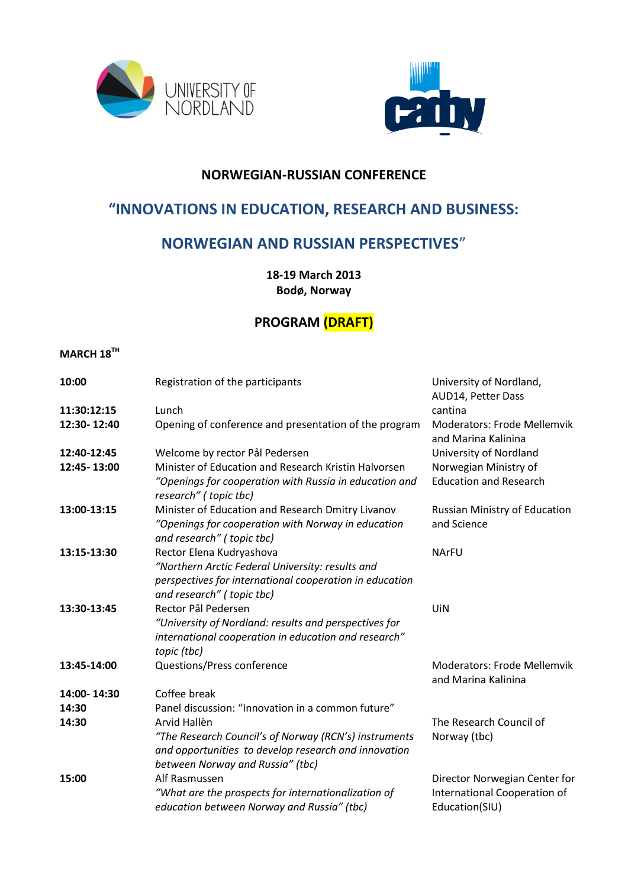



### **NORWEGIAN-RUSSIAN CONFERENCE**

# **"INNOVATIONS IN EDUCATION, RESEARCH AND BUSINESS:**

# **NORWEGIAN AND RUSSIAN PERSPECTIVES**"

**18-19 March 2013 Bodø, Norway**

# **PROGRAM (DRAFT)**

#### **MARCH 18TH**

| 10:00       | Registration of the participants                                                                                                                  | University of Nordland,<br>AUD14, Petter Dass             |
|-------------|---------------------------------------------------------------------------------------------------------------------------------------------------|-----------------------------------------------------------|
| 11:30:12:15 | Lunch                                                                                                                                             | cantina                                                   |
| 12:30-12:40 | Opening of conference and presentation of the program                                                                                             | <b>Moderators: Frode Mellemvik</b><br>and Marina Kalinina |
| 12:40-12:45 | Welcome by rector Pål Pedersen                                                                                                                    | University of Nordland                                    |
| 12:45-13:00 | Minister of Education and Research Kristin Halvorsen                                                                                              | Norwegian Ministry of                                     |
|             | "Openings for cooperation with Russia in education and<br>research" (topic tbc)                                                                   | <b>Education and Research</b>                             |
| 13:00-13:15 | Minister of Education and Research Dmitry Livanov                                                                                                 | Russian Ministry of Education                             |
|             | "Openings for cooperation with Norway in education<br>and research" (topic tbc)                                                                   | and Science                                               |
| 13:15-13:30 | Rector Elena Kudryashova                                                                                                                          | <b>NArFU</b>                                              |
|             | "Northern Arctic Federal University: results and<br>perspectives for international cooperation in education<br>and research" (topic tbc)          |                                                           |
| 13:30-13:45 | Rector Pål Pedersen                                                                                                                               | UiN                                                       |
|             | "University of Nordland: results and perspectives for<br>international cooperation in education and research"<br>topic (tbc)                      |                                                           |
| 13:45-14:00 | Questions/Press conference                                                                                                                        | <b>Moderators: Frode Mellemvik</b><br>and Marina Kalinina |
| 14:00-14:30 | Coffee break                                                                                                                                      |                                                           |
| 14:30       | Panel discussion: "Innovation in a common future"                                                                                                 |                                                           |
| 14:30       | Arvid Hallèn                                                                                                                                      | The Research Council of                                   |
|             | "The Research Council's of Norway (RCN's) instruments<br>and opportunities to develop research and innovation<br>between Norway and Russia" (tbc) | Norway (tbc)                                              |
| 15:00       | Alf Rasmussen                                                                                                                                     | Director Norwegian Center for                             |
|             | "What are the prospects for internationalization of<br>education between Norway and Russia" (tbc)                                                 | International Cooperation of<br>Education(SIU)            |